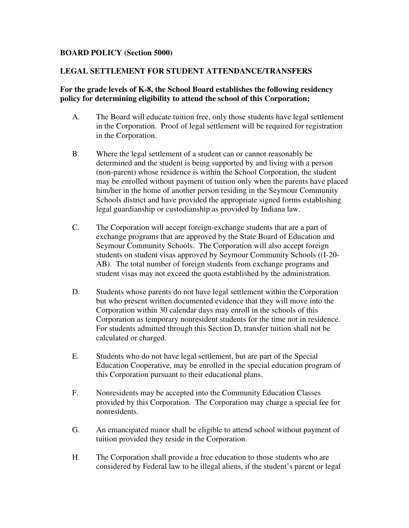## **BOARD POLICY (Section 5000)**

## **LEGAL SETTLEMENT FOR STUDENT ATTENDANCE/TRANSFERS**

## **For the grade levels of K-8, the School Board establishes the following residency policy for determining eligibility to attend the school of this Corporation:**

- A. The Board will educate tuition free, only those students have legal settlement in the Corporation. Proof of legal settlement will be required for registration in the Corporation.
- B. Where the legal settlement of a student can or cannot reasonably be determined and the student is being supported by and living with a person (non-parent) whose residence is within the School Corporation, the student may be enrolled without payment of tuition only when the parents have placed him/her in the home of another person residing in the Seymour Community Schools district and have provided the appropriate signed forms establishing legal guardianship or custodianship as provided by Indiana law.
- C. The Corporation will accept foreign-exchange students that are a part of exchange programs that are approved by the State Board of Education and Seymour Community Schools. The Corporation will also accept foreign students on student visas approved by Seymour Community Schools ((I-20- AB). The total number of foreign students from exchange programs and student visas may not exceed the quota established by the administration.
- D. Students whose parents do not have legal settlement within the Corporation but who present written documented evidence that they will move into the Corporation within 30 calendar days may enroll in the schools of this Corporation as temporary nonresident students for the time not in residence. For students admitted through this Section D, transfer tuition shall not be calculated or charged.
- E. Students who do not have legal settlement, but are part of the Special Education Cooperative, may be enrolled in the special education program of this Corporation pursuant to their educational plans.
- F. Nonresidents may be accepted into the Community Education Classes provided by this Corporation. The Corporation may charge a special fee for nonresidents.
- G. An emancipated minor shall be eligible to attend school without payment of tuition provided they reside in the Corporation.
- H. The Corporation shall provide a free education to those students who are considered by Federal law to be illegal aliens, if the student's parent or legal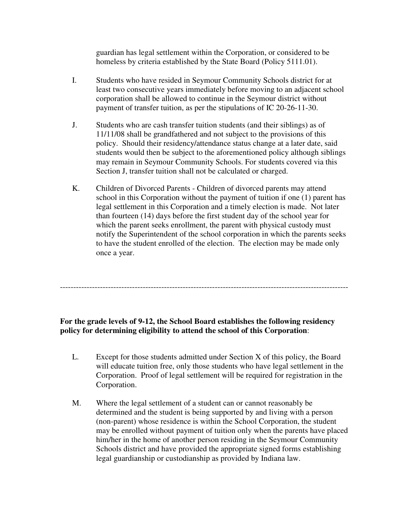guardian has legal settlement within the Corporation, or considered to be homeless by criteria established by the State Board (Policy 5111.01).

- I. Students who have resided in Seymour Community Schools district for at least two consecutive years immediately before moving to an adjacent school corporation shall be allowed to continue in the Seymour district without payment of transfer tuition, as per the stipulations of IC 20-26-11-30.
- J. Students who are cash transfer tuition students (and their siblings) as of 11/11/08 shall be grandfathered and not subject to the provisions of this policy. Should their residency/attendance status change at a later date, said students would then be subject to the aforementioned policy although siblings may remain in Seymour Community Schools. For students covered via this Section J, transfer tuition shall not be calculated or charged.
- K. Children of Divorced Parents Children of divorced parents may attend school in this Corporation without the payment of tuition if one (1) parent has legal settlement in this Corporation and a timely election is made. Not later than fourteen (14) days before the first student day of the school year for which the parent seeks enrollment, the parent with physical custody must notify the Superintendent of the school corporation in which the parents seeks to have the student enrolled of the election. The election may be made only once a year.

**For the grade levels of 9-12, the School Board establishes the following residency policy for determining eligibility to attend the school of this Corporation**:

------------------------------------------------------------------------------------------------------------

- L. Except for those students admitted under Section X of this policy, the Board will educate tuition free, only those students who have legal settlement in the Corporation. Proof of legal settlement will be required for registration in the Corporation.
- M. Where the legal settlement of a student can or cannot reasonably be determined and the student is being supported by and living with a person (non-parent) whose residence is within the School Corporation, the student may be enrolled without payment of tuition only when the parents have placed him/her in the home of another person residing in the Seymour Community Schools district and have provided the appropriate signed forms establishing legal guardianship or custodianship as provided by Indiana law.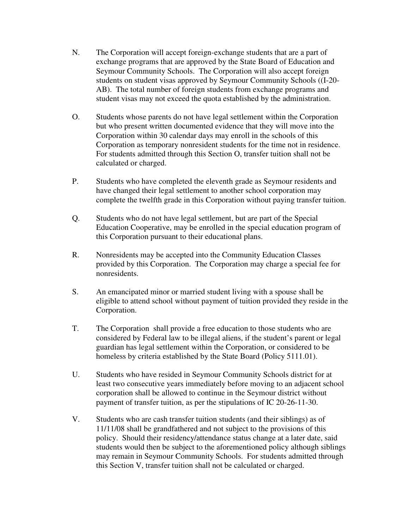- N. The Corporation will accept foreign-exchange students that are a part of exchange programs that are approved by the State Board of Education and Seymour Community Schools. The Corporation will also accept foreign students on student visas approved by Seymour Community Schools ((I-20- AB). The total number of foreign students from exchange programs and student visas may not exceed the quota established by the administration.
- O. Students whose parents do not have legal settlement within the Corporation but who present written documented evidence that they will move into the Corporation within 30 calendar days may enroll in the schools of this Corporation as temporary nonresident students for the time not in residence. For students admitted through this Section O, transfer tuition shall not be calculated or charged.
- P. Students who have completed the eleventh grade as Seymour residents and have changed their legal settlement to another school corporation may complete the twelfth grade in this Corporation without paying transfer tuition.
- Q. Students who do not have legal settlement, but are part of the Special Education Cooperative, may be enrolled in the special education program of this Corporation pursuant to their educational plans.
- R. Nonresidents may be accepted into the Community Education Classes provided by this Corporation. The Corporation may charge a special fee for nonresidents.
- S. An emancipated minor or married student living with a spouse shall be eligible to attend school without payment of tuition provided they reside in the Corporation.
- T. The Corporation shall provide a free education to those students who are considered by Federal law to be illegal aliens, if the student's parent or legal guardian has legal settlement within the Corporation, or considered to be homeless by criteria established by the State Board (Policy 5111.01).
- U. Students who have resided in Seymour Community Schools district for at least two consecutive years immediately before moving to an adjacent school corporation shall be allowed to continue in the Seymour district without payment of transfer tuition, as per the stipulations of IC 20-26-11-30.
- V. Students who are cash transfer tuition students (and their siblings) as of 11/11/08 shall be grandfathered and not subject to the provisions of this policy. Should their residency/attendance status change at a later date, said students would then be subject to the aforementioned policy although siblings may remain in Seymour Community Schools. For students admitted through this Section V, transfer tuition shall not be calculated or charged.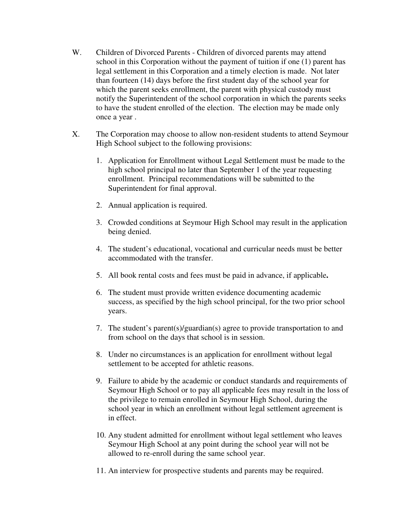- W. Children of Divorced Parents Children of divorced parents may attend school in this Corporation without the payment of tuition if one (1) parent has legal settlement in this Corporation and a timely election is made. Not later than fourteen (14) days before the first student day of the school year for which the parent seeks enrollment, the parent with physical custody must notify the Superintendent of the school corporation in which the parents seeks to have the student enrolled of the election. The election may be made only once a year .
- X. The Corporation may choose to allow non-resident students to attend Seymour High School subject to the following provisions:
	- 1. Application for Enrollment without Legal Settlement must be made to the high school principal no later than September 1 of the year requesting enrollment. Principal recommendations will be submitted to the Superintendent for final approval.
	- 2. Annual application is required.
	- 3. Crowded conditions at Seymour High School may result in the application being denied.
	- 4. The student's educational, vocational and curricular needs must be better accommodated with the transfer.
	- 5. All book rental costs and fees must be paid in advance, if applicable**.**
	- 6. The student must provide written evidence documenting academic success, as specified by the high school principal, for the two prior school years.
	- 7. The student's parent(s)/guardian(s) agree to provide transportation to and from school on the days that school is in session.
	- 8. Under no circumstances is an application for enrollment without legal settlement to be accepted for athletic reasons.
	- 9. Failure to abide by the academic or conduct standards and requirements of Seymour High School or to pay all applicable fees may result in the loss of the privilege to remain enrolled in Seymour High School, during the school year in which an enrollment without legal settlement agreement is in effect.
	- 10. Any student admitted for enrollment without legal settlement who leaves Seymour High School at any point during the school year will not be allowed to re-enroll during the same school year.
	- 11. An interview for prospective students and parents may be required.